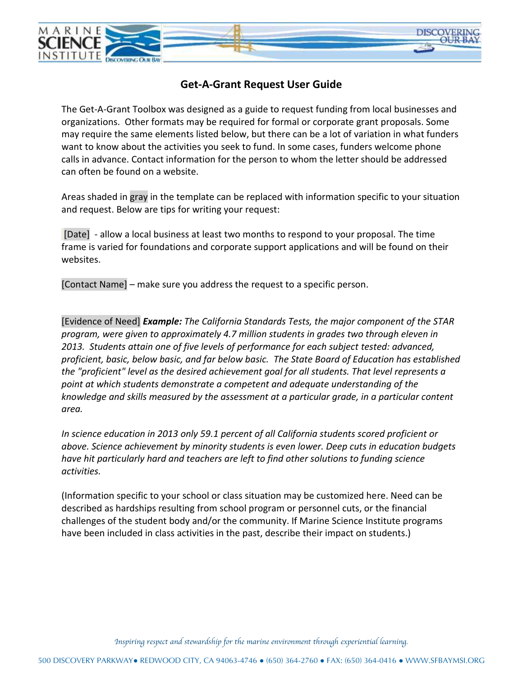

## **Get-A-Grant Request User Guide**

The Get-A-Grant Toolbox was designed as a guide to request funding from local businesses and organizations. Other formats may be required for formal or corporate grant proposals. Some may require the same elements listed below, but there can be a lot of variation in what funders want to know about the activities you seek to fund. In some cases, funders welcome phone calls in advance. Contact information for the person to whom the letter should be addressed can often be found on a website.

Areas shaded in gray in the template can be replaced with information specific to your situation and request. Below are tips for writing your request:

[Date] - allow a local business at least two months to respond to your proposal. The time frame is varied for foundations and corporate support applications and will be found on their websites.

[Contact Name] – make sure you address the request to a specific person.

[Evidence of Need] *Example: The California Standards Tests, the major component of the STAR program, were given to approximately 4.7 million students in grades two through eleven in 2013. Students attain one of five levels of performance for each subject tested: advanced, proficient, basic, below basic, and far below basic. The State Board of Education has established the "proficient" level as the desired achievement goal for all students. That level represents a point at which students demonstrate a competent and adequate understanding of the knowledge and skills measured by the assessment at a particular grade, in a particular content area.* 

*In science education in 2013 only 59.1 percent of all California students scored proficient or above. Science achievement by minority students is even lower. Deep cuts in education budgets have hit particularly hard and teachers are left to find other solutions to funding science activities.* 

(Information specific to your school or class situation may be customized here. Need can be described as hardships resulting from school program or personnel cuts, or the financial challenges of the student body and/or the community. If Marine Science Institute programs have been included in class activities in the past, describe their impact on students.)

*Inspiring respect and stewardship for the marine environment through experiential learning.*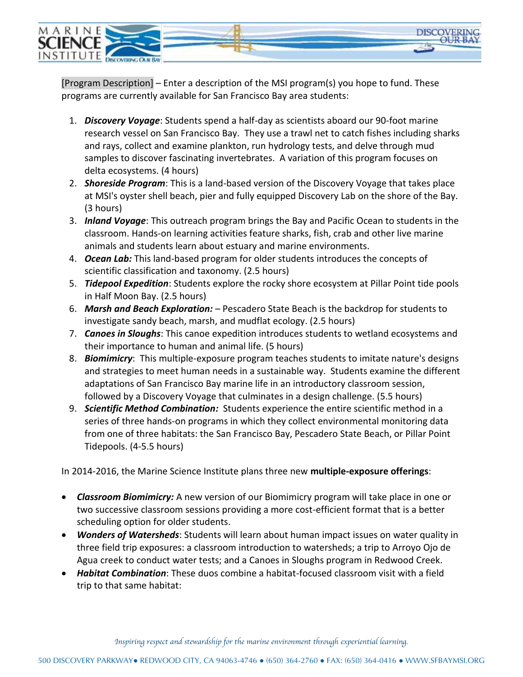

[Program Description] – Enter a description of the MSI program(s) you hope to fund. These programs are currently available for San Francisco Bay area students:

- 1. *Discovery Voyage*: Students spend a half-day as scientists aboard our 90-foot marine research vessel on San Francisco Bay. They use a trawl net to catch fishes including sharks and rays, collect and examine plankton, run hydrology tests, and delve through mud samples to discover fascinating invertebrates. A variation of this program focuses on delta ecosystems. (4 hours)
- 2. *Shoreside Program*: This is a land-based version of the Discovery Voyage that takes place at MSI's oyster shell beach, pier and fully equipped Discovery Lab on the shore of the Bay. (3 hours)
- 3. *Inland Voyage*: This outreach program brings the Bay and Pacific Ocean to students in the classroom. Hands-on learning activities feature sharks, fish, crab and other live marine animals and students learn about estuary and marine environments.
- 4. *Ocean Lab:* This land-based program for older students introduces the concepts of scientific classification and taxonomy. (2.5 hours)
- 5. *Tidepool Expedition*: Students explore the rocky shore ecosystem at Pillar Point tide pools in Half Moon Bay. (2.5 hours)
- 6. *Marsh and Beach Exploration:* Pescadero State Beach is the backdrop for students to investigate sandy beach, marsh, and mudflat ecology. (2.5 hours)
- 7. *Canoes in Sloughs*: This canoe expedition introduces students to wetland ecosystems and their importance to human and animal life. (5 hours)
- 8. *Biomimicry*: This multiple-exposure program teaches students to imitate nature's designs and strategies to meet human needs in a sustainable way. Students examine the different adaptations of San Francisco Bay marine life in an introductory classroom session, followed by a Discovery Voyage that culminates in a design challenge. (5.5 hours)
- 9. *Scientific Method Combination:* Students experience the entire scientific method in a series of three hands-on programs in which they collect environmental monitoring data from one of three habitats: the San Francisco Bay, Pescadero State Beach, or Pillar Point Tidepools. (4-5.5 hours)

In 2014-2016, the Marine Science Institute plans three new **multiple-exposure offerings**:

- *Classroom Biomimicry:* A new version of our Biomimicry program will take place in one or two successive classroom sessions providing a more cost-efficient format that is a better scheduling option for older students.
- *Wonders of Watersheds*: Students will learn about human impact issues on water quality in three field trip exposures: a classroom introduction to watersheds; a trip to Arroyo Ojo de Agua creek to conduct water tests; and a Canoes in Sloughs program in Redwood Creek.
- *Habitat Combination*: These duos combine a habitat-focused classroom visit with a field trip to that same habitat: